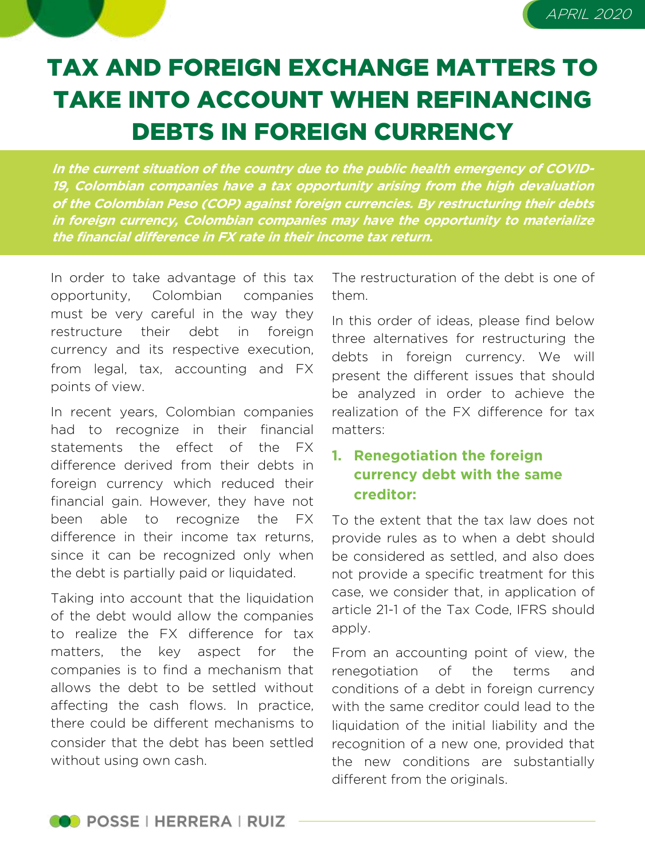# TAX AND FOREIGN EXCHANGE MATTERS TO

TAKE INTO ACCOUNT WHEN REFINANCING DEBTS IN FOREIGN CURRENCY

**In the current situation of the country due to the public health emergency of COVID-19, Colombian companies have <sup>a</sup> tax opportunity arising from the high devaluation of the Colombian Peso (COP) against foreign currencies. By restructuring their debts in foreign currency, Colombian companies may have the opportunity to materialize the financial difference in FX rate in their income tax return.**

In order to take advantage of this tax opportunity, Colombian companies must be very careful in the way they restructure their debt in foreign currency and its respective execution, from legal, tax, accounting and FX points of view.

In recent years, Colombian companies had to recognize in their financial statements the effect of the FX difference derived from their debts in foreign currency which reduced their financial gain. However, they have not been able to recognize the FX difference in their income tax returns, since it can be recognized only when the debt is partially paid or liquidated.

Taking into account that the liquidation of the debt would allow the companies to realize the FX difference for tax matters, the key aspect for the companies is to find a mechanism that allows the debt to be settled without affecting the cash flows. In practice, there could be different mechanisms to consider that the debt has been settled without using own cash.

The restructuration of the debt is one of them.

APRIL 2020

In this order of ideas, please find below three alternatives for restructuring the debts in foreign currency. We will present the different issues that should be analyzed in order to achieve the realization of the FX difference for tax matters:

### **1. Renegotiation the foreign currency debt with the same creditor:**

To the extent that the tax law does not provide rules as to when a debt should be considered as settled, and also does not provide a specific treatment for this case, we consider that, in application of article 21-1 of the Tax Code, IFRS should apply.

From an accounting point of view, the renegotiation of the terms and conditions of a debt in foreign currency with the same creditor could lead to the liquidation of the initial liability and the recognition of a new one, provided that the new conditions are substantially different from the originals.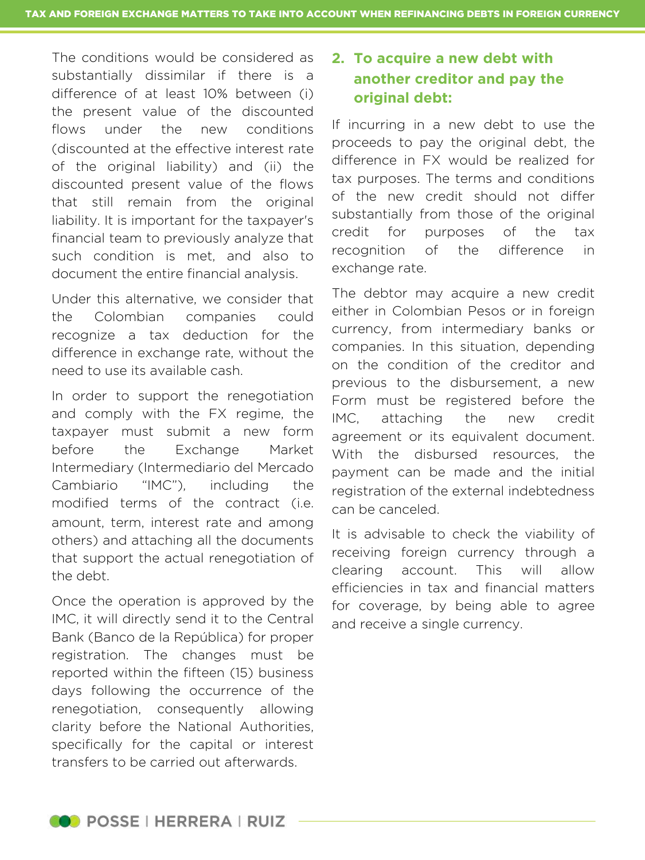The conditions would be considered as substantially dissimilar if there is a difference of at least 10% between (i) the present value of the discounted flows under the new conditions (discounted at the effective interest rate of the original liability) and (ii) the discounted present value of the flows that still remain from the original liability. It is important for the taxpayer's financial team to previously analyze that such condition is met, and also to document the entire financial analysis.

Under this alternative, we consider that the Colombian companies could recognize a tax deduction for the difference in exchange rate, without the need to use its available cash.

In order to support the renegotiation and comply with the FX regime, the taxpayer must submit a new form before the Exchange Market Intermediary (Intermediario del Mercado Cambiario "IMC"), including the modified terms of the contract (i.e. amount, term, interest rate and among others) and attaching all the documents that support the actual renegotiation of the debt.

Once the operation is approved by the IMC, it will directly send it to the Central Bank (Banco de la República) for proper registration. The changes must be reported within the fifteen (15) business days following the occurrence of the renegotiation, consequently allowing clarity before the National Authorities, specifically for the capital or interest transfers to be carried out afterwards.

#### **2. To acquire a new debt with another creditor and pay the original debt:**

If incurring in a new debt to use the proceeds to pay the original debt, the difference in FX would be realized for tax purposes. The terms and conditions of the new credit should not differ substantially from those of the original credit for purposes of the tax recognition of the difference in exchange rate.

The debtor may acquire a new credit either in Colombian Pesos or in foreign currency, from intermediary banks or companies. In this situation, depending on the condition of the creditor and previous to the disbursement, a new Form must be registered before the IMC, attaching the new credit agreement or its equivalent document. With the disbursed resources, the payment can be made and the initial registration of the external indebtedness can be canceled.

It is advisable to check the viability of receiving foreign currency through a clearing account. This will allow efficiencies in tax and financial matters for coverage, by being able to agree and receive a single currency.